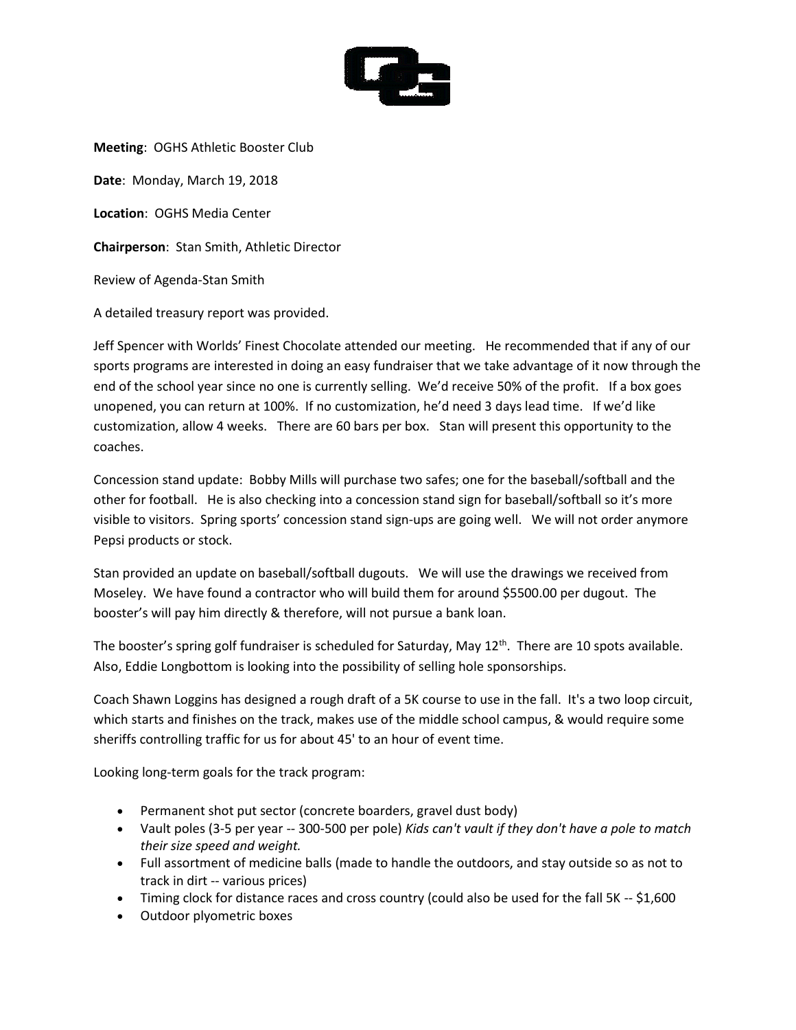

**Meeting**: OGHS Athletic Booster Club **Date**: Monday, March 19, 2018 **Location**: OGHS Media Center **Chairperson**: Stan Smith, Athletic Director Review of Agenda-Stan Smith A detailed treasury report was provided.

Jeff Spencer with Worlds' Finest Chocolate attended our meeting. He recommended that if any of our sports programs are interested in doing an easy fundraiser that we take advantage of it now through the end of the school year since no one is currently selling. We'd receive 50% of the profit. If a box goes unopened, you can return at 100%. If no customization, he'd need 3 days lead time. If we'd like customization, allow 4 weeks. There are 60 bars per box. Stan will present this opportunity to the coaches.

Concession stand update: Bobby Mills will purchase two safes; one for the baseball/softball and the other for football. He is also checking into a concession stand sign for baseball/softball so it's more visible to visitors. Spring sports' concession stand sign-ups are going well. We will not order anymore Pepsi products or stock.

Stan provided an update on baseball/softball dugouts. We will use the drawings we received from Moseley. We have found a contractor who will build them for around \$5500.00 per dugout. The booster's will pay him directly & therefore, will not pursue a bank loan.

The booster's spring golf fundraiser is scheduled for Saturday, May 12<sup>th</sup>. There are 10 spots available. Also, Eddie Longbottom is looking into the possibility of selling hole sponsorships.

Coach Shawn Loggins has designed a rough draft of a 5K course to use in the fall. It's a two loop circuit, which starts and finishes on the track, makes use of the middle school campus, & would require some sheriffs controlling traffic for us for about 45' to an hour of event time.

Looking long-term goals for the track program:

- Permanent shot put sector (concrete boarders, gravel dust body)
- Vault poles (3-5 per year -- 300-500 per pole) *Kids can't vault if they don't have a pole to match their size speed and weight.*
- Full assortment of medicine balls (made to handle the outdoors, and stay outside so as not to track in dirt -- various prices)
- Timing clock for distance races and cross country (could also be used for the fall 5K -- \$1,600
- Outdoor plyometric boxes